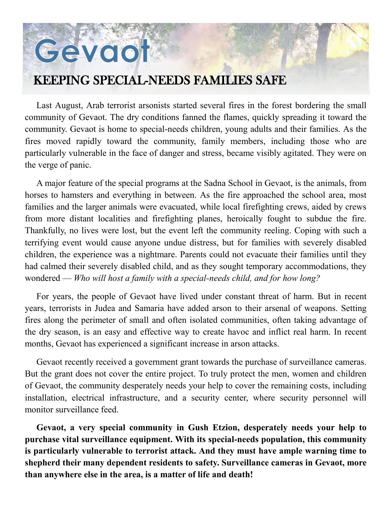## Gevoot

## KEEPING SPECIAL-NEEDS FAMILIES SAFE

Last August, Arab terrorist arsonists started several fires in the forest bordering the small community of Gevaot. The dry conditions fanned the flames, quickly spreading it toward the community. Gevaot is home to special-needs children, young adults and their families. As the fires moved rapidly toward the community, family members, including those who are particularly vulnerable in the face of danger and stress, became visibly agitated. They were on the verge of panic.

A major feature of the special programs at the Sadna School in Gevaot, is the animals, from horses to hamsters and everything in between. As the fire approached the school area, most families and the larger animals were evacuated, while local firefighting crews, aided by crews from more distant localities and firefighting planes, heroically fought to subdue the fire. Thankfully, no lives were lost, but the event left the community reeling. Coping with such a terrifying event would cause anyone undue distress, but for families with severely disabled children, the experience was a nightmare. Parents could not evacuate their families until they had calmed their severely disabled child, and as they sought temporary accommodations, they wondered — *Who will host a family with a special-needs child, and for how long?*

For years, the people of Gevaot have lived under constant threat of harm. But in recent years, terrorists in Judea and Samaria have added arson to their arsenal of weapons. Setting fires along the perimeter of small and often isolated communities, often taking advantage of the dry season, is an easy and effective way to create havoc and inflict real harm. In recent months, Gevaot has experienced a significant increase in arson attacks.

Gevaot recently received a government grant towards the purchase of surveillance cameras. But the grant does not cover the entire project. To truly protect the men, women and children of Gevaot, the community desperately needs your help to cover the remaining costs, including installation, electrical infrastructure, and a security center, where security personnel will monitor surveillance feed.

**Gevaot, a very special community in Gush Etzion, desperately needs your help to purchase vital surveillance equipment. With its special-needs population, this community is particularly vulnerable to terrorist attack. And they must have ample warning time to shepherd their many dependent residents to safety. Surveillance cameras in Gevaot, more than anywhere else in the area, is a matter of life and death!**